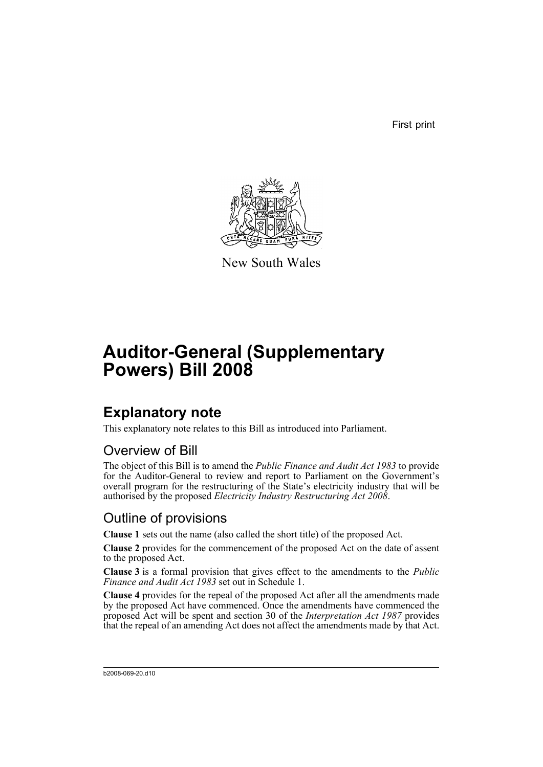First print



New South Wales

# **Auditor-General (Supplementary Powers) Bill 2008**

## **Explanatory note**

This explanatory note relates to this Bill as introduced into Parliament.

## Overview of Bill

The object of this Bill is to amend the *Public Finance and Audit Act 1983* to provide for the Auditor-General to review and report to Parliament on the Government's overall program for the restructuring of the State's electricity industry that will be authorised by the proposed *Electricity Industry Restructuring Act 2008*.

### Outline of provisions

**Clause 1** sets out the name (also called the short title) of the proposed Act.

**Clause 2** provides for the commencement of the proposed Act on the date of assent to the proposed Act.

**Clause 3** is a formal provision that gives effect to the amendments to the *Public Finance and Audit Act 1983* set out in Schedule 1.

**Clause 4** provides for the repeal of the proposed Act after all the amendments made by the proposed Act have commenced. Once the amendments have commenced the proposed Act will be spent and section 30 of the *Interpretation Act 1987* provides that the repeal of an amending Act does not affect the amendments made by that Act.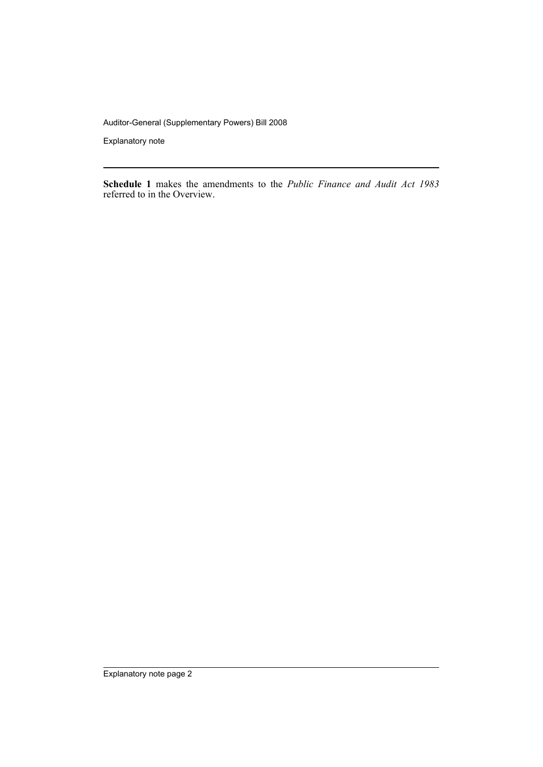Auditor-General (Supplementary Powers) Bill 2008

Explanatory note

**Schedule 1** makes the amendments to the *Public Finance and Audit Act 1983* referred to in the Overview.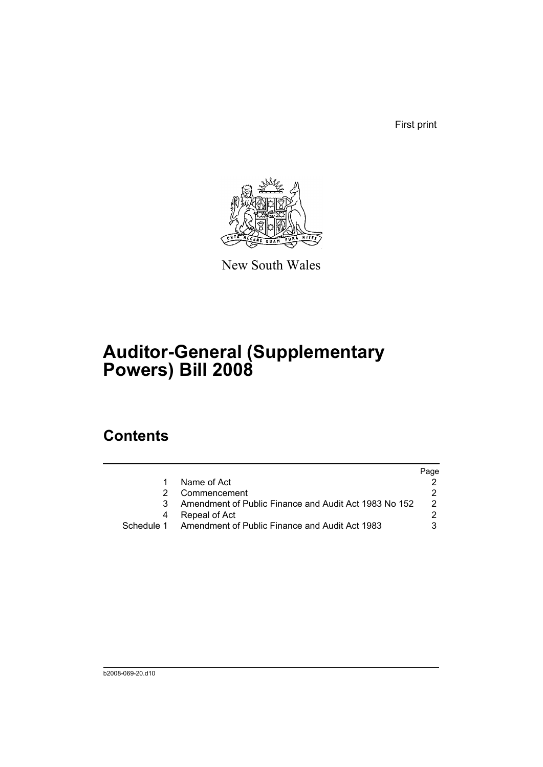First print



New South Wales

# **Auditor-General (Supplementary Powers) Bill 2008**

## **Contents**

|                                                           | Page          |
|-----------------------------------------------------------|---------------|
| Name of Act                                               |               |
| Commencement                                              | 2.            |
| Amendment of Public Finance and Audit Act 1983 No 152     | $\mathcal{P}$ |
| Repeal of Act                                             |               |
| Schedule 1 Amendment of Public Finance and Audit Act 1983 | 3             |
|                                                           |               |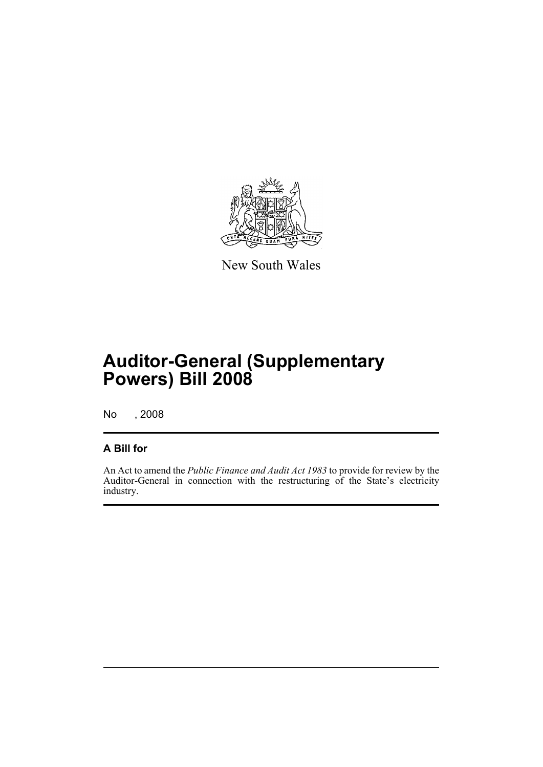

New South Wales

# **Auditor-General (Supplementary Powers) Bill 2008**

No , 2008

### **A Bill for**

An Act to amend the *Public Finance and Audit Act 1983* to provide for review by the Auditor-General in connection with the restructuring of the State's electricity industry.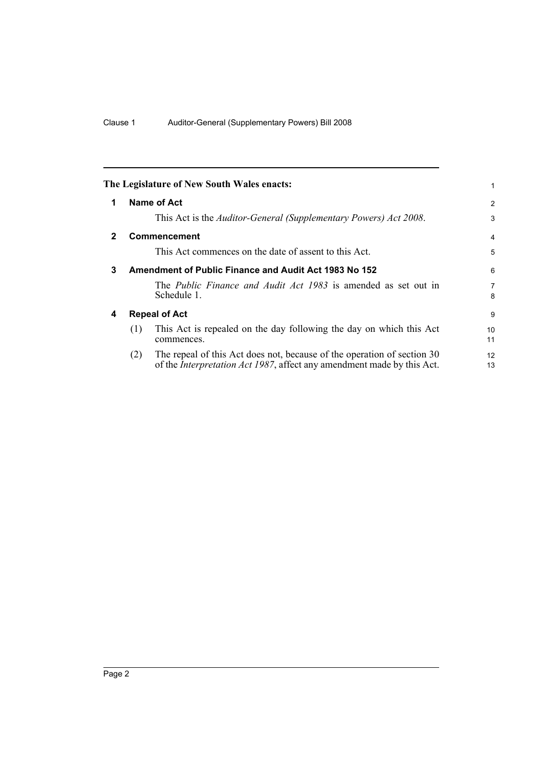<span id="page-5-3"></span><span id="page-5-2"></span><span id="page-5-1"></span><span id="page-5-0"></span>

|              |                                                       | The Legislature of New South Wales enacts:                                                                                                                | 1                   |
|--------------|-------------------------------------------------------|-----------------------------------------------------------------------------------------------------------------------------------------------------------|---------------------|
| 1            |                                                       | Name of Act                                                                                                                                               | $\overline{2}$      |
|              |                                                       | This Act is the <i>Auditor-General (Supplementary Powers) Act 2008</i> .                                                                                  | 3                   |
| $\mathbf{2}$ | <b>Commencement</b>                                   |                                                                                                                                                           |                     |
|              |                                                       | This Act commences on the date of assent to this Act.                                                                                                     | 5                   |
| 3            | Amendment of Public Finance and Audit Act 1983 No 152 |                                                                                                                                                           | 6                   |
|              |                                                       | The <i>Public Finance and Audit Act 1983</i> is amended as set out in<br>Schedule 1.                                                                      | $\overline{7}$<br>8 |
| 4            |                                                       | <b>Repeal of Act</b>                                                                                                                                      | 9                   |
|              | (1)                                                   | This Act is repealed on the day following the day on which this Act<br>commences.                                                                         | 10<br>11            |
|              | (2)                                                   | The repeal of this Act does not, because of the operation of section 30<br>of the <i>Interpretation Act 1987</i> , affect any amendment made by this Act. | 12<br>13            |
|              |                                                       |                                                                                                                                                           |                     |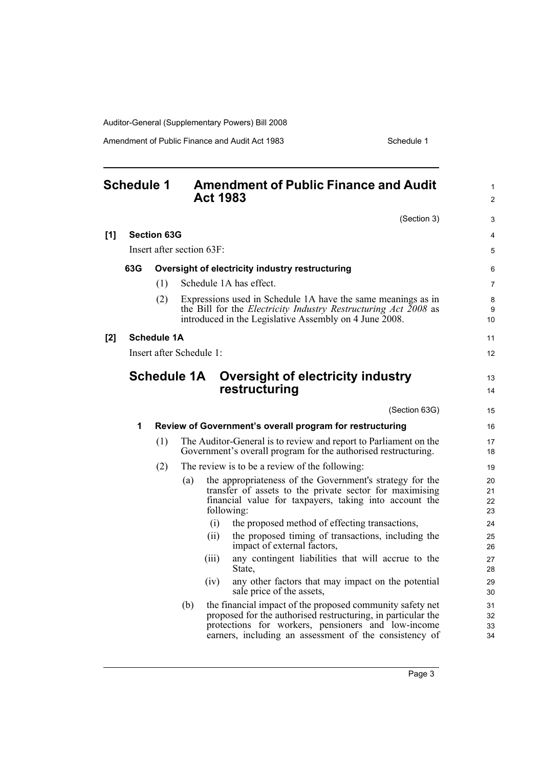Auditor-General (Supplementary Powers) Bill 2008

Amendment of Public Finance and Audit Act 1983 Schedule 1

<span id="page-6-0"></span>

|     | <b>Schedule 1</b>         |                    | <b>Amendment of Public Finance and Audit</b><br><b>Act 1983</b>                                                                                                                                                                                  | $\mathbf{1}$<br>2    |
|-----|---------------------------|--------------------|--------------------------------------------------------------------------------------------------------------------------------------------------------------------------------------------------------------------------------------------------|----------------------|
|     |                           |                    | (Section 3)                                                                                                                                                                                                                                      | 3                    |
| [1] |                           | <b>Section 63G</b> |                                                                                                                                                                                                                                                  | 4                    |
|     | Insert after section 63F: |                    |                                                                                                                                                                                                                                                  | 5                    |
|     | 63G                       |                    | Oversight of electricity industry restructuring                                                                                                                                                                                                  | 6                    |
|     |                           | (1)                | Schedule 1A has effect.                                                                                                                                                                                                                          | $\overline{7}$       |
|     |                           | (2)                | Expressions used in Schedule 1A have the same meanings as in<br>the Bill for the <i>Electricity Industry Restructuring Act 2008</i> as<br>introduced in the Legislative Assembly on 4 June 2008.                                                 | 8<br>9<br>10         |
| [2] |                           | <b>Schedule 1A</b> |                                                                                                                                                                                                                                                  | 11                   |
|     |                           |                    | Insert after Schedule 1:                                                                                                                                                                                                                         | 12                   |
|     |                           |                    | Oversight of electricity industry<br>restructuring<br>(Section 63G)                                                                                                                                                                              | 13<br>14<br>15       |
|     | 1                         |                    | Review of Government's overall program for restructuring                                                                                                                                                                                         | 16                   |
|     |                           | (1)                | The Auditor-General is to review and report to Parliament on the<br>Government's overall program for the authorised restructuring.                                                                                                               | 17<br>18             |
|     |                           | (2)                | The review is to be a review of the following:                                                                                                                                                                                                   | 19                   |
|     |                           |                    | the appropriateness of the Government's strategy for the<br>(a)<br>transfer of assets to the private sector for maximising<br>financial value for taxpayers, taking into account the<br>following:                                               | 20<br>21<br>22<br>23 |
|     |                           |                    | (i)<br>the proposed method of effecting transactions,                                                                                                                                                                                            | 24                   |
|     |                           |                    | the proposed timing of transactions, including the<br>(ii)<br>impact of external factors,                                                                                                                                                        | 25<br>26             |
|     |                           |                    | any contingent liabilities that will accrue to the<br>(iii)<br>State,                                                                                                                                                                            | 27<br>28             |
|     |                           |                    | any other factors that may impact on the potential<br>(iv)<br>sale price of the assets,                                                                                                                                                          | 29<br>30             |
|     |                           |                    | the financial impact of the proposed community safety net<br>(b)<br>proposed for the authorised restructuring, in particular the<br>protections for workers, pensioners and low-income<br>earners, including an assessment of the consistency of | 31<br>32<br>33<br>34 |